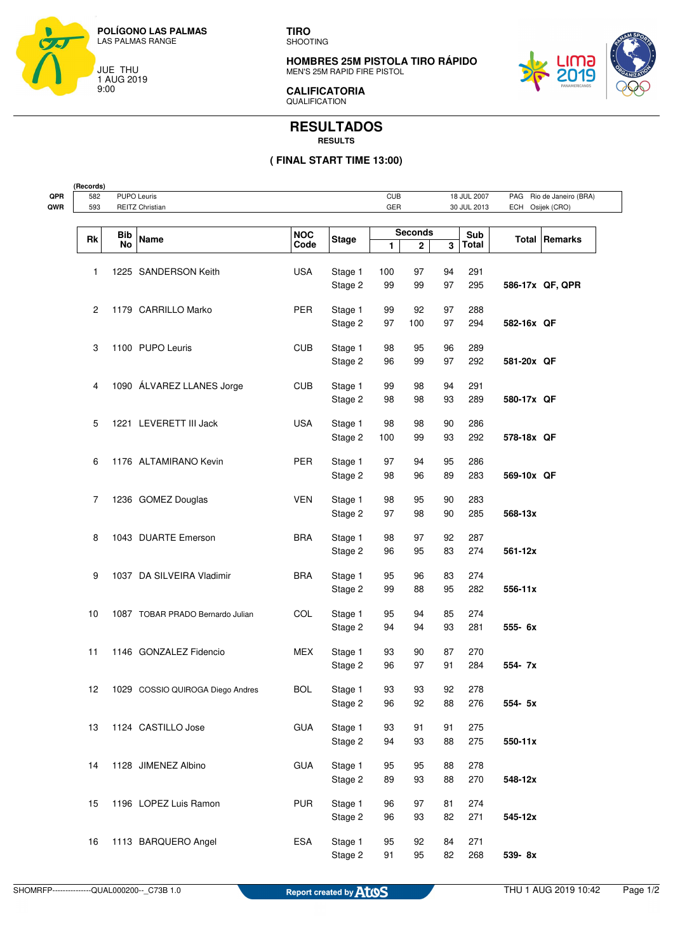

**(Records)**

**TIRO** SHOOTING

**HOMBRES 25M PISTOLA TIRO RÁPIDO** MEN'S 25M RAPID FIRE PISTOL



**CALIFICATORIA** QUALIFICATION

## **RESULTADOS RESULTS**

## **( FINAL START TIME 13:00)**

| 593 | <b>PUPO Leuris</b><br>582<br>REITZ Christian |                                  |            | <b>CUB</b><br>GER  |                |              | 18 JUL 2007<br>30 JUL 2013 | PAG Rio de Janeiro (BRA)<br>Osijek (CRO)<br>ECH |                      |  |
|-----|----------------------------------------------|----------------------------------|------------|--------------------|----------------|--------------|----------------------------|-------------------------------------------------|----------------------|--|
|     |                                              |                                  |            |                    |                |              |                            |                                                 |                      |  |
| Rk  | Bib                                          | <b>Name</b>                      | <b>NOC</b> | <b>Stage</b>       | <b>Seconds</b> |              |                            | Sub                                             | <b>Total Remarks</b> |  |
|     | <b>No</b>                                    |                                  | Code       |                    | 1              | $\mathbf{2}$ | 3                          | Total                                           |                      |  |
|     |                                              | 1225 SANDERSON Keith             | <b>USA</b> | Stage 1            | 100            | 97           | 94                         | 291                                             |                      |  |
| 1   |                                              |                                  |            | Stage 2            | 99             | 99           | 97                         | 295                                             | 586-17x QF, QPR      |  |
|     |                                              |                                  |            |                    |                |              |                            |                                                 |                      |  |
| 2   |                                              | 1179 CARRILLO Marko              | PER        | Stage 1            | 99             | 92           | 97                         | 288                                             |                      |  |
|     |                                              |                                  |            | Stage 2            | 97             | 100          | 97                         | 294                                             | 582-16x QF           |  |
| 3   |                                              | 1100 PUPO Leuris                 | <b>CUB</b> | Stage 1            | 98             | 95           | 96                         | 289                                             |                      |  |
|     |                                              |                                  |            | Stage 2            | 96             | 99           | 97                         | 292                                             | 581-20x QF           |  |
|     |                                              |                                  |            |                    |                |              |                            |                                                 |                      |  |
| 4   |                                              | 1090 ÁLVAREZ LLANES Jorge        | <b>CUB</b> | Stage 1            | 99             | 98           | 94                         | 291                                             |                      |  |
|     |                                              |                                  |            | Stage 2            | 98             | 98           | 93                         | 289                                             | 580-17x QF           |  |
| 5   |                                              | 1221 LEVERETT III Jack           | <b>USA</b> | Stage 1            | 98             | 98           | 90                         | 286                                             |                      |  |
|     |                                              |                                  |            | Stage 2            | 100            | 99           | 93                         | 292                                             | 578-18x QF           |  |
|     |                                              |                                  |            |                    |                |              |                            |                                                 |                      |  |
| 6   |                                              | 1176 ALTAMIRANO Kevin            | PER        | Stage 1            | 97             | 94           | 95                         | 286                                             |                      |  |
|     |                                              |                                  |            | Stage 2            | 98             | 96           | 89                         | 283                                             | 569-10x QF           |  |
| 7   |                                              | 1236 GOMEZ Douglas               | <b>VEN</b> | Stage 1            | 98             | 95           | 90                         | 283                                             |                      |  |
|     |                                              |                                  |            | Stage 2            | 97             | 98           | 90                         | 285                                             | 568-13x              |  |
|     |                                              |                                  |            |                    |                |              |                            |                                                 |                      |  |
| 8   |                                              | 1043 DUARTE Emerson              | <b>BRA</b> | Stage 1            | 98             | 97           | 92                         | 287                                             |                      |  |
|     |                                              |                                  |            | Stage 2            | 96             | 95           | 83                         | 274                                             | 561-12x              |  |
| 9   |                                              | 1037 DA SILVEIRA Vladimir        | <b>BRA</b> | Stage 1            | 95             | 96           | 83                         | 274                                             |                      |  |
|     |                                              |                                  |            | Stage 2            | 99             | 88           | 95                         | 282                                             | 556-11x              |  |
|     |                                              |                                  |            |                    |                |              |                            |                                                 |                      |  |
| 10  |                                              | 1087 TOBAR PRADO Bernardo Julian | COL        | Stage 1<br>Stage 2 | 95<br>94       | 94<br>94     | 85<br>93                   | 274<br>281                                      | 555- 6x              |  |
|     |                                              |                                  |            |                    |                |              |                            |                                                 |                      |  |
| 11  |                                              | 1146 GONZALEZ Fidencio           | MEX        | Stage 1            | 93             | 90           | 87                         | 270                                             |                      |  |
|     |                                              |                                  |            | Stage 2            | 96             | 97           | 91                         | 284                                             | 554- 7x              |  |
| 12  |                                              | 1029 COSSIO QUIROGA Diego Andres | <b>BOL</b> | Stage 1            | 93             | 93           | 92                         | 278                                             |                      |  |
|     |                                              |                                  |            | Stage 2            | 96             | 92           | 88                         | 276                                             | 554- 5x              |  |
|     |                                              |                                  |            |                    |                |              |                            |                                                 |                      |  |
| 13  |                                              | 1124 CASTILLO Jose               | <b>GUA</b> | Stage 1            | 93             | 91           | 91                         | 275                                             |                      |  |
|     |                                              |                                  |            | Stage 2            | 94             | 93           | 88                         | 275                                             | 550-11x              |  |
| 14  |                                              | 1128 JIMENEZ Albino              | <b>GUA</b> | Stage 1            | 95             | 95           | 88                         | 278                                             |                      |  |
|     |                                              |                                  |            | Stage 2            | 89             | 93           | 88                         | 270                                             | 548-12x              |  |
|     |                                              |                                  |            |                    |                |              |                            |                                                 |                      |  |
| 15  |                                              | 1196 LOPEZ Luis Ramon            | <b>PUR</b> | Stage 1            | 96             | 97           | 81                         | 274                                             |                      |  |
|     |                                              |                                  |            | Stage 2            | 96             | 93           | 82                         | 271                                             | 545-12x              |  |
| 16  |                                              | 1113 BARQUERO Angel              | ESA        | Stage 1            | 95             | 92           | 84                         | 271                                             |                      |  |
|     |                                              |                                  |            | Stage 2            | 91             | 95           | 82                         | 268                                             | 539-8x               |  |